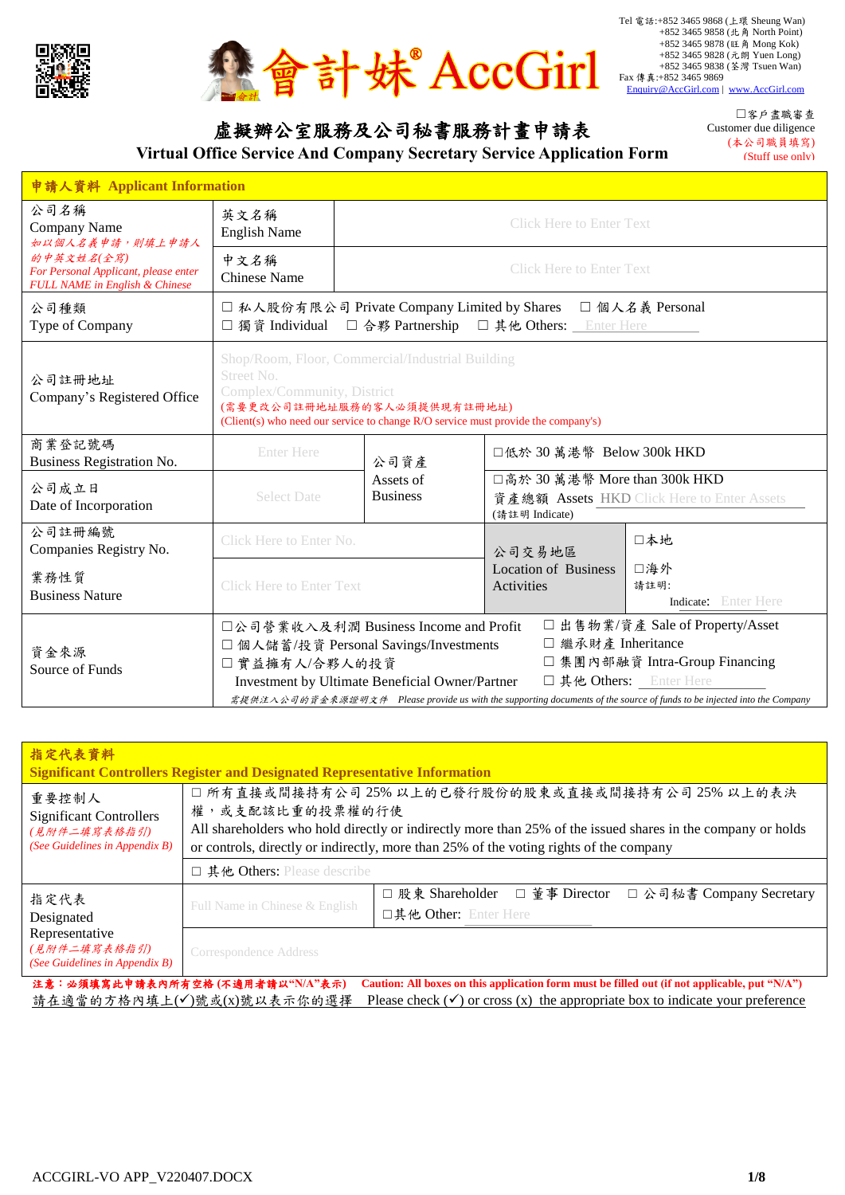



虛擬辦公室服務及公司秘書服務計畫申請表

**Virtual Office Service And Company Secretary Service Application Form**

☐客戶盡職審查 Customer due diligence (本公司職員填寫) (Stuff use only)

| 申請人資料 Applicant Information                                                          |                                           |                                                                                                                                                                      |                                                 |                                                                                                                                                                                                                        |  |  |
|--------------------------------------------------------------------------------------|-------------------------------------------|----------------------------------------------------------------------------------------------------------------------------------------------------------------------|-------------------------------------------------|------------------------------------------------------------------------------------------------------------------------------------------------------------------------------------------------------------------------|--|--|
| 公司名稱<br>Company Name<br>如以個人名義申請, 則填上申請人                                             | 英文名稱<br><b>English Name</b>               | <b>Click Here to Enter Text</b>                                                                                                                                      |                                                 |                                                                                                                                                                                                                        |  |  |
| 的中英文姓名(全寫)<br>For Personal Applicant, please enter<br>FULL NAME in English & Chinese | 中文名稱<br><b>Chinese Name</b>               | <b>Click Here to Enter Text</b>                                                                                                                                      |                                                 |                                                                                                                                                                                                                        |  |  |
| 公司種類<br>Type of Company                                                              | □ 獨資 Individual                           | □ 私人股份有限公司 Private Company Limited by Shares<br>□ 個人名義 Personal<br>□ 合夥 Partnership □ 其他 Others: Enter Here                                                          |                                                 |                                                                                                                                                                                                                        |  |  |
| 公司註冊地址<br>Company's Registered Office                                                | Street No.<br>Complex/Community, District | Shop/Room, Floor, Commercial/Industrial Building<br>(需要更改公司註冊地址服務的客人必須提供現有註冊地址)<br>(Client(s) who need our service to change R/O service must provide the company's) |                                                 |                                                                                                                                                                                                                        |  |  |
| 商業登記號碼<br>Business Registration No.                                                  | <b>Enter Here</b>                         | 公司資產                                                                                                                                                                 | □低於 30 萬港幣 Below 300k HKD                       |                                                                                                                                                                                                                        |  |  |
| 公司成立日<br>Date of Incorporation                                                       | <b>Select Date</b>                        | Assets of<br><b>Business</b>                                                                                                                                         | □高於 30 萬港幣 More than 300k HKD<br>(請註明 Indicate) | 資產總額 Assets HKD Click Here to Enter Assets                                                                                                                                                                             |  |  |
| 公司註冊編號<br>Companies Registry No.                                                     | Click Here to Enter No.                   |                                                                                                                                                                      | 公司交易地區                                          | 口本地                                                                                                                                                                                                                    |  |  |
| 業務性質<br><b>Business Nature</b>                                                       | <b>Click Here to Enter Text</b>           |                                                                                                                                                                      | <b>Location of Business</b><br>Activities       | □海外<br>請註明:<br><b>Indicate:</b> Enter Here                                                                                                                                                                             |  |  |
| 資金來源<br>Source of Funds                                                              | □ 實益擁有人/合夥人的投資                            | □公司營業收入及利潤 Business Income and Profit<br>□ 個人儲蓄/投資 Personal Savings/Investments<br>Investment by Ultimate Beneficial Owner/Partner                                   | □ 繼承財產 Inheritance                              | □出售物業/資產 Sale of Property/Asset<br>□ 集團內部融資 Intra-Group Financing<br>口其他 Others: Enter Here<br>需提供注入公司的資金來源證明文件 Please provide us with the supporting documents of the source of funds to be injected into the Company |  |  |

| 指定代表資料<br><b>Significant Controllers Register and Designated Representative Information</b>                                                                                                                                                                |                                                                                                                                                                                                                                                                               |                                                                                        |  |  |  |
|------------------------------------------------------------------------------------------------------------------------------------------------------------------------------------------------------------------------------------------------------------|-------------------------------------------------------------------------------------------------------------------------------------------------------------------------------------------------------------------------------------------------------------------------------|----------------------------------------------------------------------------------------|--|--|--|
| 重要控制人<br><b>Significant Controllers</b><br>(見附件二填寫表格指引)<br>(See Guidelines in Appendix B)                                                                                                                                                                  | □ 所有直接或間接持有公司 25% 以上的已發行股份的股東或直接或間接持有公司 25% 以上的表決<br>權,或支配該比重的投票權的行使<br>All shareholders who hold directly or indirectly more than 25% of the issued shares in the company or holds<br>or controls, directly or indirectly, more than 25% of the voting rights of the company |                                                                                        |  |  |  |
|                                                                                                                                                                                                                                                            | $\square$ 其他 Others: Please describe                                                                                                                                                                                                                                          |                                                                                        |  |  |  |
| 指定代表<br>Designated                                                                                                                                                                                                                                         | Full Name in Chinese & English                                                                                                                                                                                                                                                | □ 董事 Director<br>□ 股東 Shareholder<br>□ 公司秘書 Company Secretary<br>口其他 Other: Enter Here |  |  |  |
| Representative<br>(見附件二填寫表格指引)<br>(See Guidelines in Appendix B)                                                                                                                                                                                           | Correspondence Address                                                                                                                                                                                                                                                        |                                                                                        |  |  |  |
| 注意:必須填寫此申請表內所有空格(不適用者請以"N/A"表示)<br>Caution: All boxes on this application form must be filled out (if not applicable, put "N/A")<br>請在適當的方格內填上(√)號或(x)號以表示你的選擇<br>Please check $(\checkmark)$ or cross (x) the appropriate box to indicate your preference |                                                                                                                                                                                                                                                                               |                                                                                        |  |  |  |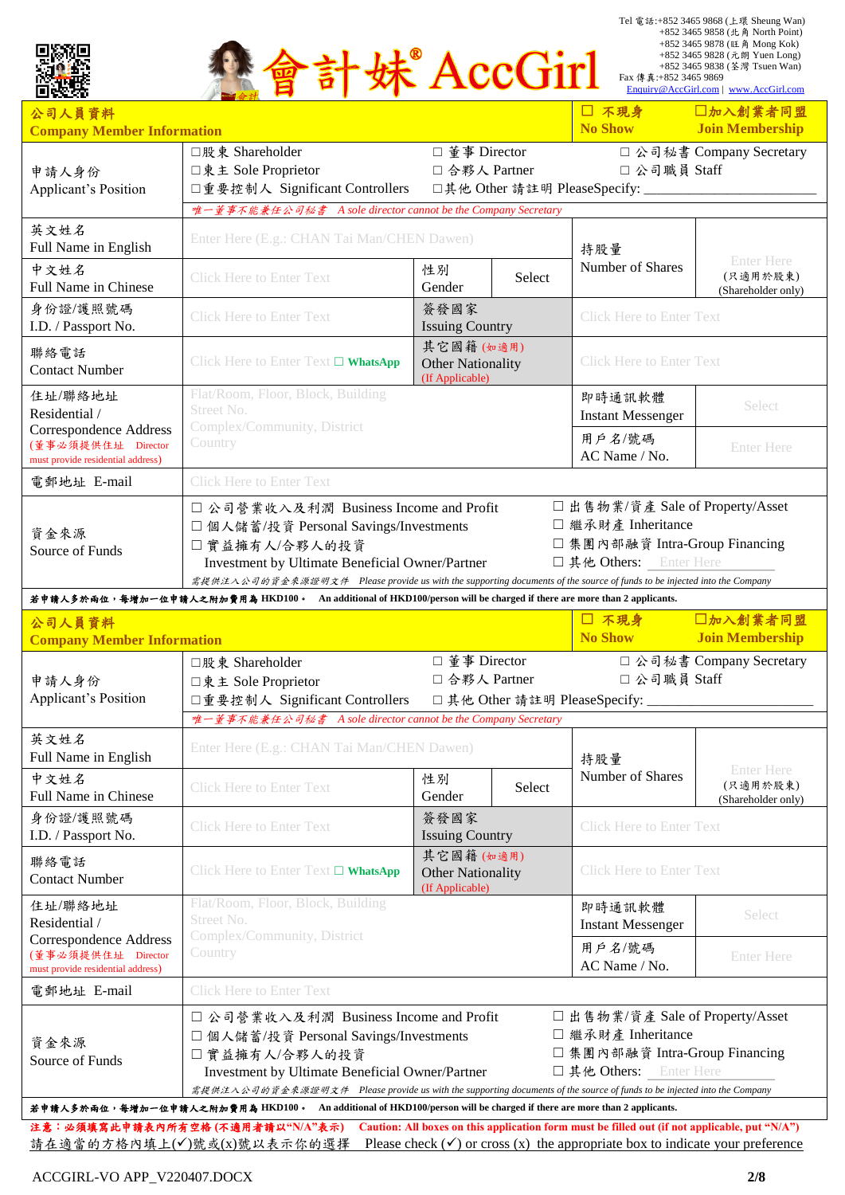|                                                                                          |                                                                                                                                                                                                                                                                                                                                                                                                        | 妹 AccGirl                                                |        | Fax 傳真: +852 3465 9869                                                                                            | Tel 電話:+852 3465 9868 (上環 Sheung Wan)<br>+852 3465 9858 (北角 North Point)<br>+852 3465 9878 (旺角 Mong Kok)<br>+852 3465 9828 (元朗 Yuen Long)<br>+852 3465 9838 (荃灣 Tsuen Wan)<br>Enquiry@AccGirl.com   www.AccGirl.com |
|------------------------------------------------------------------------------------------|--------------------------------------------------------------------------------------------------------------------------------------------------------------------------------------------------------------------------------------------------------------------------------------------------------------------------------------------------------------------------------------------------------|----------------------------------------------------------|--------|-------------------------------------------------------------------------------------------------------------------|---------------------------------------------------------------------------------------------------------------------------------------------------------------------------------------------------------------------|
| 公司人員資料                                                                                   |                                                                                                                                                                                                                                                                                                                                                                                                        |                                                          |        | □ 不現身                                                                                                             | 口加入創業者同盟                                                                                                                                                                                                            |
| <b>Company Member Information</b>                                                        |                                                                                                                                                                                                                                                                                                                                                                                                        |                                                          |        | No Show                                                                                                           | <b>Join Membership</b>                                                                                                                                                                                              |
| 申請人身份<br>Applicant's Position                                                            | □股東 Shareholder<br>□東主 Sole Proprietor<br>□重要控制人 Significant Controllers                                                                                                                                                                                                                                                                                                                               | □ 董事 Director<br>□ 合夥人 Partner                           |        | □ 公司職員 Staff<br>□其他 Other 請註明 PleaseSpecify: _____________                                                        | □ 公司秘書 Company Secretary                                                                                                                                                                                            |
|                                                                                          | 唯一董事不能兼任公司秘書 A sole director cannot be the Company Secretary                                                                                                                                                                                                                                                                                                                                           |                                                          |        |                                                                                                                   |                                                                                                                                                                                                                     |
| 英文姓名<br>Full Name in English                                                             | Enter Here (E.g.: CHAN Tai Man/CHEN Dawen)                                                                                                                                                                                                                                                                                                                                                             |                                                          |        | 持股量                                                                                                               | <b>Enter Here</b>                                                                                                                                                                                                   |
| 中文姓名<br>Full Name in Chinese                                                             | <b>Click Here to Enter Text</b>                                                                                                                                                                                                                                                                                                                                                                        | 性別<br>Gender                                             | Select | Number of Shares                                                                                                  | (只適用於股東)<br>(Shareholder only)                                                                                                                                                                                      |
| 身份證/護照號碼<br>I.D. / Passport No.                                                          | <b>Click Here to Enter Text</b>                                                                                                                                                                                                                                                                                                                                                                        | 簽發國家<br><b>Issuing Country</b>                           |        | <b>Click Here to Enter Text</b>                                                                                   |                                                                                                                                                                                                                     |
| 聯絡電話<br><b>Contact Number</b>                                                            | Click Here to Enter Text $\square$ WhatsApp                                                                                                                                                                                                                                                                                                                                                            | 其它國籍(如適用)<br><b>Other Nationality</b><br>(If Applicable) |        | <b>Click Here to Enter Text</b>                                                                                   |                                                                                                                                                                                                                     |
| 住址/聯絡地址<br>Residential /                                                                 | Flat/Room, Floor, Block, Building<br>Street No.                                                                                                                                                                                                                                                                                                                                                        |                                                          |        | 即時通訊軟體<br><b>Instant Messenger</b>                                                                                | Select                                                                                                                                                                                                              |
| Correspondence Address<br>(董事必須提供住址 Director<br>must provide residential address)        | Complex/Community, District<br>Country                                                                                                                                                                                                                                                                                                                                                                 |                                                          |        | 用戶名/號碼<br>AC Name / No.                                                                                           | <b>Enter Here</b>                                                                                                                                                                                                   |
| 電郵地址 E-mail                                                                              | <b>Click Here to Enter Text</b>                                                                                                                                                                                                                                                                                                                                                                        |                                                          |        |                                                                                                                   |                                                                                                                                                                                                                     |
| Source of Funds                                                                          | Investment by Ultimate Beneficial Owner/Partner<br>需提供注入公司的資金來源證明文件 Please provide us with the supporting documents of the source of funds to be injected into the Company<br>若申請人多於兩位,每增加一位申請人之附加費用為 HKD100。 An additional of HKD100/person will be charged if there are more than 2 applicants.                                                                                                      |                                                          |        | 口其他 Others: Enter Here                                                                                            |                                                                                                                                                                                                                     |
| 公司人員資料                                                                                   |                                                                                                                                                                                                                                                                                                                                                                                                        |                                                          |        |                                                                                                                   |                                                                                                                                                                                                                     |
| <b>Company Member Information</b>                                                        |                                                                                                                                                                                                                                                                                                                                                                                                        |                                                          |        | □ 不現身<br><b>No Show</b>                                                                                           | 口加入創業者同盟<br><b>Join Membership</b>                                                                                                                                                                                  |
| 申請人身份<br><b>Applicant's Position</b>                                                     | □股東 Shareholder<br>□東主 Sole Proprietor<br>□重要控制人 Significant Controllers                                                                                                                                                                                                                                                                                                                               | □ 董事 Director<br>□ 合夥人 Partner                           |        | □ 公司職員 Staff<br>□其他 Other 請註明 PleaseSpecify: _________                                                            | □ 公司秘書 Company Secretary                                                                                                                                                                                            |
|                                                                                          | 唯一董事不能兼任公司秘書 A sole director cannot be the Company Secretary                                                                                                                                                                                                                                                                                                                                           |                                                          |        |                                                                                                                   |                                                                                                                                                                                                                     |
| 英文姓名<br>Full Name in English                                                             | Enter Here (E.g.: CHAN Tai Man/CHEN Dawen)                                                                                                                                                                                                                                                                                                                                                             |                                                          |        | 持股量                                                                                                               |                                                                                                                                                                                                                     |
| 中文姓名<br>Full Name in Chinese                                                             | <b>Click Here to Enter Text</b>                                                                                                                                                                                                                                                                                                                                                                        | 性別<br>Gender                                             | Select | Number of Shares                                                                                                  | <b>Enter Here</b><br>(只適用於股東)<br>(Shareholder only)                                                                                                                                                                 |
| 身份證/護照號碼<br>I.D. / Passport No.                                                          | <b>Click Here to Enter Text</b>                                                                                                                                                                                                                                                                                                                                                                        | 簽發國家<br><b>Issuing Country</b>                           |        | <b>Click Here to Enter Text</b>                                                                                   |                                                                                                                                                                                                                     |
| 聯絡電話<br><b>Contact Number</b>                                                            | Click Here to Enter Text □ WhatsApp                                                                                                                                                                                                                                                                                                                                                                    | 其它國籍(如適用)<br><b>Other Nationality</b><br>(If Applicable) |        | <b>Click Here to Enter Text</b>                                                                                   |                                                                                                                                                                                                                     |
| 住址/聯絡地址<br>Residential /                                                                 | Flat/Room, Floor, Block, Building<br>Street No.                                                                                                                                                                                                                                                                                                                                                        |                                                          |        | 即時通訊軟體<br><b>Instant Messenger</b>                                                                                | Select                                                                                                                                                                                                              |
| <b>Correspondence Address</b><br>(董事必須提供住址 Director<br>must provide residential address) | Complex/Community, District<br>Country                                                                                                                                                                                                                                                                                                                                                                 |                                                          |        | 用戶名/號碼<br>AC Name / No.                                                                                           | <b>Enter Here</b>                                                                                                                                                                                                   |
| 電郵地址 E-mail                                                                              | <b>Click Here to Enter Text</b>                                                                                                                                                                                                                                                                                                                                                                        |                                                          |        |                                                                                                                   |                                                                                                                                                                                                                     |
| 資金來源<br>Source of Funds                                                                  | □ 公司營業收入及利潤 Business Income and Profit<br>□ 個人儲蓄/投資 Personal Savings/Investments<br>□實益擁有人/合夥人的投資<br>Investment by Ultimate Beneficial Owner/Partner<br>需提供注入公司的資金來源證明文件 Please provide us with the supporting documents of the source of funds to be injected into the Company<br>若申請人多於兩位,每增加一位申請人之附加費用為 HKD100。 An additional of HKD100/person will be charged if there are more than 2 applicants. |                                                          |        | □出售物業/資產 Sale of Property/Asset<br>□ 繼承財產 Inheritance<br>□ 集團內部融資 Intra-Group Financing<br>口其他 Others: Enter Here |                                                                                                                                                                                                                     |

請在適當的方格內填上(√)號或(x)號以表示你的選擇 Please check (√) or cross (x) the appropriate box to indicate your preference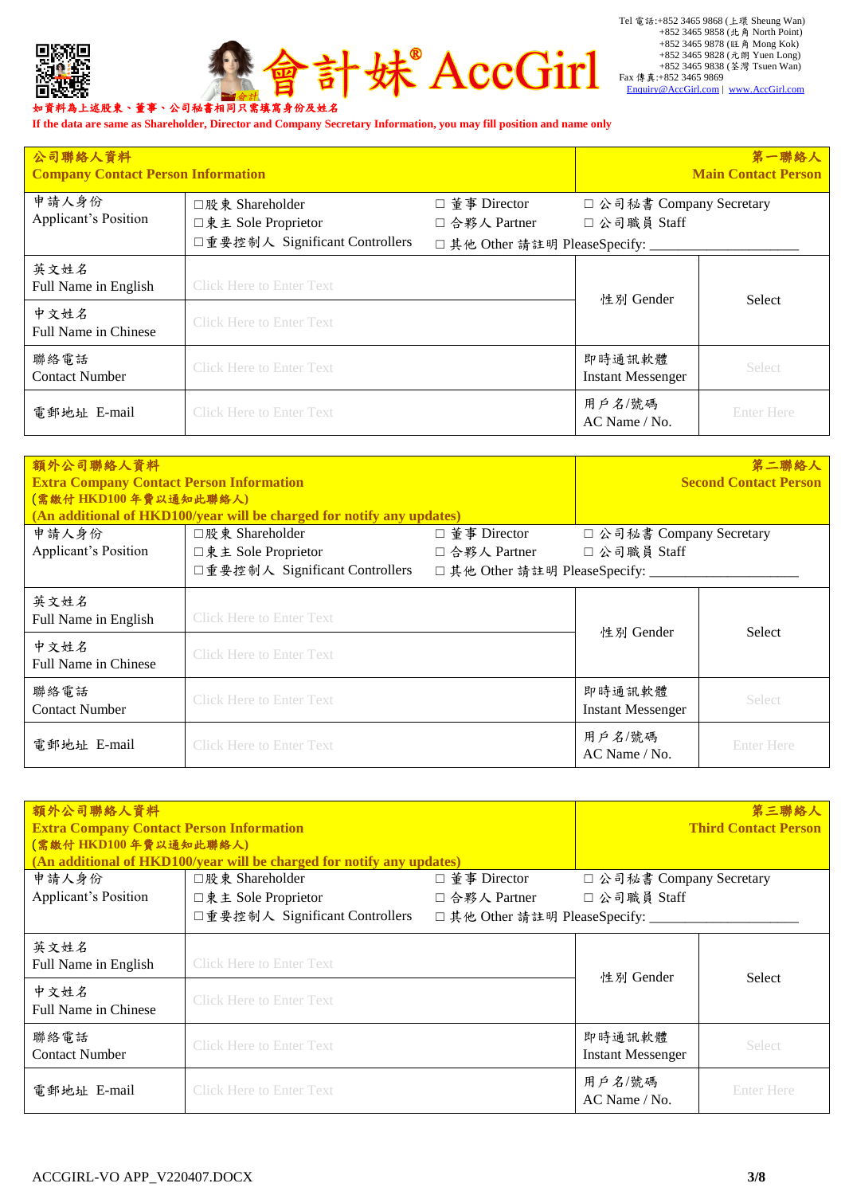



**If the data are same as Shareholder, Director and Company Secretary Information, you may fill position and name only**

| 公司聯絡人資料<br><b>Company Contact Person Information</b> |                                                                          |                                                                   |                                          | 第一聯絡人<br><b>Main Contact Person</b> |
|------------------------------------------------------|--------------------------------------------------------------------------|-------------------------------------------------------------------|------------------------------------------|-------------------------------------|
| 申請人身份<br><b>Applicant's Position</b>                 | □股東 Shareholder<br>□東主 Sole Proprietor<br>□重要控制人 Significant Controllers | □ 董事 Director<br>□ 合夥人 Partner<br>□ 其他 Other 請註明 PleaseSpecify: _ | □ 公司秘書 Company Secretary<br>□ 公司職員 Staff |                                     |
| 英文姓名<br>Full Name in English                         | <b>Click Here to Enter Text</b>                                          |                                                                   | 性別 Gender                                | Select                              |
| 中文姓名<br>Full Name in Chinese                         | <b>Click Here to Enter Text</b>                                          |                                                                   |                                          |                                     |
| 聯絡電話<br><b>Contact Number</b>                        | <b>Click Here to Enter Text</b>                                          |                                                                   | 即時通訊軟體<br><b>Instant Messenger</b>       | <b>Select</b>                       |
| 電郵地址 E-mail                                          | <b>Click Here to Enter Text</b>                                          |                                                                   | 用戶名/號碼<br>$AC$ Name / No.                | Enter Here                          |

| 額外公司聯絡人資料<br><b>Extra Company Contact Person Information</b><br>(需繳付 HKD100年費以通知此聯絡人) | (An additional of HKD100/year will be charged for notify any updates) |                                                    |                                    | 第二聯絡人<br><b>Second Contact Person</b> |
|---------------------------------------------------------------------------------------|-----------------------------------------------------------------------|----------------------------------------------------|------------------------------------|---------------------------------------|
| 申請人身份                                                                                 | □股東 Shareholder                                                       | □ 董事 Director                                      | □ 公司秘書 Company Secretary           |                                       |
| <b>Applicant's Position</b>                                                           | □東主 Sole Proprietor<br>□重要控制人 Significant Controllers                 | □ 合夥人 Partner<br>□其他 Other 請註明 PleaseSpecify: ____ | □ 公司職員 Staff                       |                                       |
| 英文姓名<br>Full Name in English                                                          | <b>Click Here to Enter Text</b>                                       |                                                    | 性別 Gender                          | Select                                |
| 中文姓名<br>Full Name in Chinese                                                          | <b>Click Here to Enter Text</b>                                       |                                                    |                                    |                                       |
| 聯絡電話<br><b>Contact Number</b>                                                         | <b>Click Here to Enter Text</b>                                       |                                                    | 即時通訊軟體<br><b>Instant Messenger</b> | <b>Select</b>                         |
| 電郵地址 E-mail                                                                           | <b>Click Here to Enter Text</b>                                       |                                                    | 用戶名/號碼<br>$AC$ Name / No.          | <b>Enter Here</b>                     |

| 額外公司聯絡人資料<br><b>Extra Company Contact Person Information</b><br>(需繳付 HKD100年費以通知此聯絡人) | (An additional of HKD100/year will be charged for notify any updates) |                                                   |                                    | 第三聯絡人<br><b>Third Contact Person</b> |
|---------------------------------------------------------------------------------------|-----------------------------------------------------------------------|---------------------------------------------------|------------------------------------|--------------------------------------|
| 申請人身份                                                                                 | □股東 Shareholder                                                       | □ 董事 Director                                     | □ 公司秘書 Company Secretary           |                                      |
| <b>Applicant's Position</b>                                                           | □東主 Sole Proprietor<br>□重要控制人 Significant Controllers                 | □ 合夥人 Partner<br>□ 其他 Other 請註明 PleaseSpecify: __ | □ 公司職員 Staff                       |                                      |
| 英文姓名<br>Full Name in English                                                          | <b>Click Here to Enter Text</b>                                       |                                                   | 性別 Gender                          | <b>Select</b>                        |
| 中文姓名<br><b>Full Name in Chinese</b>                                                   | <b>Click Here to Enter Text</b>                                       |                                                   |                                    |                                      |
| 聯絡電話<br><b>Contact Number</b>                                                         | <b>Click Here to Enter Text</b>                                       |                                                   | 即時通訊軟體<br><b>Instant Messenger</b> | Select                               |
| 電郵地址 E-mail                                                                           | <b>Click Here to Enter Text</b>                                       |                                                   | 用戶名/號碼<br>$AC$ Name / No.          | <b>Enter Here</b>                    |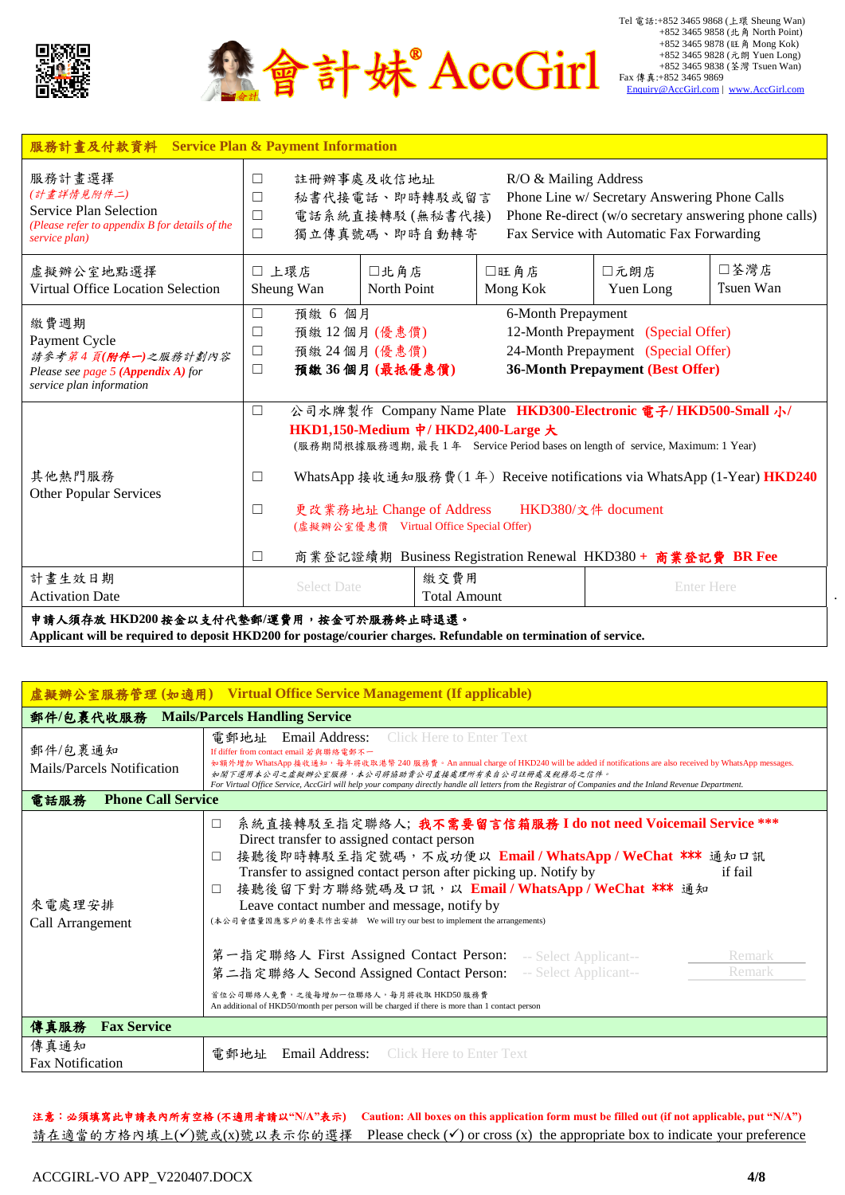

▲會計妹®AccGirl

Tel 電話:+852 3465 9868 (上環 Sheung Wan) +852 3465 9858 (北角 North Point) +852 3465 9878 (旺角 Mong Kok) +852 3465 9828 (元朗 Yuen Long) +852 3465 9838 (荃灣 Tsuen Wan) Fax 傳真:+852 3465 9869<br>[Enquiry@AccGirl.com](mailto:Enquiry@AccGirl.com) | [www.AccGirl.com](http://www.accgirl.com/)

| 服務計畫及付款資料                                                                                                                | <b>Service Plan &amp; Payment Information</b>                                                                                                                                                                                                                                                                                                                                                                                                                          |                                                                                                                                                                                                           |                  |                   |                   |  |
|--------------------------------------------------------------------------------------------------------------------------|------------------------------------------------------------------------------------------------------------------------------------------------------------------------------------------------------------------------------------------------------------------------------------------------------------------------------------------------------------------------------------------------------------------------------------------------------------------------|-----------------------------------------------------------------------------------------------------------------------------------------------------------------------------------------------------------|------------------|-------------------|-------------------|--|
| 服務計畫選擇<br>(計畫詳情見附件二)<br><b>Service Plan Selection</b><br>(Please refer to appendix B for details of the<br>service plan) | 註冊辦事處及收信地址<br>R/O & Mailing Address<br>$\Box$<br>秘書代接電話、即時轉駁或留言<br>Phone Line w/ Secretary Answering Phone Calls<br>$\Box$<br>Phone Re-direct (w/o secretary answering phone calls)<br>電話系統直接轉駁(無秘書代接)<br>$\Box$<br>獨立傳真號碼、即時自動轉寄<br>Fax Service with Automatic Fax Forwarding<br>$\Box$                                                                                                                                                                               |                                                                                                                                                                                                           |                  |                   |                   |  |
| 虚擬辦公室地點選擇<br>Virtual Office Location Selection                                                                           | □ 上環店<br>Sheung Wan                                                                                                                                                                                                                                                                                                                                                                                                                                                    | □北角店<br>North Point                                                                                                                                                                                       | □旺角店<br>Mong Kok | □元朗店<br>Yuen Long | □荃灣店<br>Tsuen Wan |  |
| 繳費週期<br>Payment Cycle<br>請參考第4頁(附件一)之服務計劃內容<br>Please see page 5 (Appendix A) for<br>service plan information            | $\Box$<br>□<br>$\Box$<br>$\Box$                                                                                                                                                                                                                                                                                                                                                                                                                                        | 預繳 6 個月<br>6-Month Prepayment<br>12-Month Prepayment (Special Offer)<br>預繳12個月(優惠價)<br>24-Month Prepayment (Special Offer)<br>預繳 24 個月 (優惠價)<br><b>36-Month Prepayment (Best Offer)</b><br>預繳 36個月(最抵優惠價) |                  |                   |                   |  |
| 其他熱門服務<br><b>Other Popular Services</b>                                                                                  | 公司水牌製作 Company Name Plate HKD300-Electronic 電子/HKD500-Small 小/<br>$\Box$<br>HKD1,150-Medium 中/HKD2,400-Large $\pm$<br>(服務期間根據服務週期,最長1年 Service Period bases on length of service, Maximum: 1 Year)<br>WhatsApp 接收通知服務費(1年) Receive notifications via WhatsApp (1-Year) HKD240<br>$\Box$<br>更改業務地址 Change of Address<br>HKD380/文件 document<br>$\Box$<br>(虛擬辦公室優惠價 Virtual Office Special Offer)<br>商業登記證續期 Business Registration Renewal HKD380+ 商業登記費 BR Fee<br>$\Box$ |                                                                                                                                                                                                           |                  |                   |                   |  |
| 計畫生效日期<br><b>Activation Date</b><br>申請人須存放 HKD200 按金以支付代墊郵/運費用,按金可於服務終止時退還。                                              | <b>Select Date</b>                                                                                                                                                                                                                                                                                                                                                                                                                                                     | 繳交費用<br><b>Total Amount</b>                                                                                                                                                                               |                  | <b>Enter Here</b> |                   |  |

**Applicant will be required to deposit HKD200 for postage/courier charges. Refundable on termination of service.**

| 虛擬辦公室服務管理(如適用) Virtual Office Service Management (If applicable) |                                                                                                                                                                                                                                                                                                                                                                                                                                                                                                                                                                                                                                                                                                                                                           |  |  |  |
|------------------------------------------------------------------|-----------------------------------------------------------------------------------------------------------------------------------------------------------------------------------------------------------------------------------------------------------------------------------------------------------------------------------------------------------------------------------------------------------------------------------------------------------------------------------------------------------------------------------------------------------------------------------------------------------------------------------------------------------------------------------------------------------------------------------------------------------|--|--|--|
| 郵件/包裹代收服務                                                        | <b>Mails/Parcels Handling Service</b>                                                                                                                                                                                                                                                                                                                                                                                                                                                                                                                                                                                                                                                                                                                     |  |  |  |
| 郵件/包裹通知<br>Mails/Parcels Notification                            | <b>Click Here to Enter Text</b><br>電郵地址<br>Email Address:<br>If differ from contact email 若與聯絡電郵不一<br>如額外增加 WhatsApp 接收通知,每年將收取港幣 240 服務費。An annual charge of HKD240 will be added if notifications are also received by WhatsApp messages.<br>如閣下選用本公司之虛擬辦公室服務,本公司將協助責公司直接處理所有來自公司註冊處及稅務局之信件。<br>For Virtual Office Service, AccGirl will help your company directly handle all letters from the Registrar of Companies and the Inland Revenue Department.                                                                                                                                                                                                                                                                                               |  |  |  |
| <b>Phone Call Service</b><br>電話服務                                |                                                                                                                                                                                                                                                                                                                                                                                                                                                                                                                                                                                                                                                                                                                                                           |  |  |  |
| 來電處理安排<br>Call Arrangement                                       | 系統直接轉駁至指定聯絡人;我不需要留言信箱服務 I do not need Voicemail Service ***<br>$\Box$<br>Direct transfer to assigned contact person<br>接聽後即時轉駁至指定號碼,不成功便以 Email / WhatsApp / WeChat *** 通知口訊<br>$\Box$<br>Transfer to assigned contact person after picking up. Notify by<br>if fail<br>接聽後留下對方聯絡號碼及口訊,以 Email / WhatsApp / WeChat *** 通知<br>$\Box$<br>Leave contact number and message, notify by<br>(本公司會儘量因應客戶的要求作出安排 We will try our best to implement the arrangements)<br>第一指定聯絡人 First Assigned Contact Person: -- Select Applicant--<br>Remark<br>第二指定聯絡人 Second Assigned Contact Person: -- Select Applicant--<br>Remark<br>首位公司聯絡人免費,之後每增加一位聯絡人,每月將收取HKD50服務費<br>An additional of HKD50/month per person will be charged if there is more than 1 contact person |  |  |  |
| 傳真服務<br><b>Fax Service</b>                                       |                                                                                                                                                                                                                                                                                                                                                                                                                                                                                                                                                                                                                                                                                                                                                           |  |  |  |
| 傳真通知<br>Fax Notification                                         | <b>Email Address:</b> Click Here to Enter Text<br>雷郵地址                                                                                                                                                                                                                                                                                                                                                                                                                                                                                                                                                                                                                                                                                                    |  |  |  |

注意:必須填寫此申請表內所有空格 **(**不適用者請以**"N/A"**表示**) Caution: All boxes on this application form must be filled out (if not applicable, put "N/A")** 請在適當的方格內填上(√)號或(x)號以表示你的選擇 Please check (√) or cross (x) the appropriate box to indicate your preference .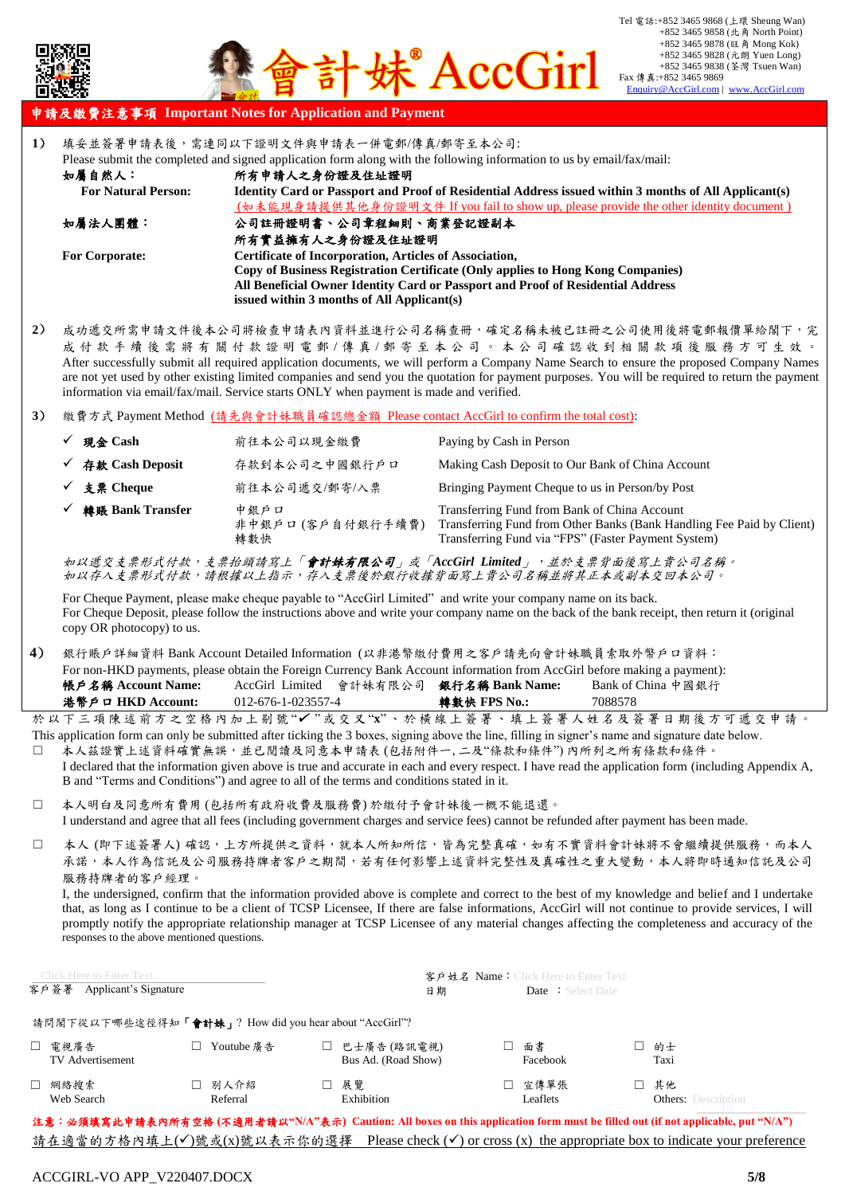

## 申請及繳費注意事項 **Important Notes for Application and Payment**

- **1**) 填妥並簽署申請表後,需連同以下證明文件與申請表一併電郵/傳真/郵寄至本公司: Please submit the completed and signed application form along with the following information to us by email/fax/mail: 如屬自然人: 所有申請人之身份證及住址證明 **For Natural Person: Identity Card or Passport and Proof of Residential Address issued within 3 months of All Applicant(s)** (如未能現身請提供其他身份證明文件 If you fail to show up, please provide the other identity document ) 如屬法人團體: 公司註冊證明書、公司章程細則、商業登記證副本 所有實益擁有人之身份證及住址證明 **For Corporate: Certificate of Incorporation, Articles of Association, Copy of Business Registration Certificate (Only applies to Hong Kong Companies) All Beneficial Owner Identity Card or Passport and Proof of Residential Address issued within 3 months of All Applicant(s)**
- **2**) 成功遞交所需申請文件後本公司將檢查申請表內資料並進行公司名稱查冊,確定名稱未被已註冊之公司使用後將電郵報價單給閣下,完 成 付 款 手 續 後 需 將 有 關 付 款 證 明 電 郵 / 傳 真 / 郵 寄 至 本 公 司 。 本 公 司 確 認 收 到 相 關 款 項 後 服 務 方 可 生 效 。 After successfully submit all required application documents, we will perform a Company Name Search to ensure the proposed Company Names are not yet used by other existing limited companies and send you the quotation for payment purposes. You will be required to return the payment information via email/fax/mail. Service starts ONLY when payment is made and verified.
- **3**) 繳費方式 Payment Method (請先與會計妹職員確認總金額 Please contact AccGirl to confirm the total cost):

| 現金 Cash          | 前往本公司以現金繳費                       | Paying by Cash in Person                                                                                                                                                     |
|------------------|----------------------------------|------------------------------------------------------------------------------------------------------------------------------------------------------------------------------|
| 存款 Cash Deposit  | 存款到本公司之中國銀行戶口                    | Making Cash Deposit to Our Bank of China Account                                                                                                                             |
| 支票 Cheque        | 前往本公司遞交/郵寄/入票                    | Bringing Payment Cheque to us in Person/by Post                                                                                                                              |
| 轉賬 Bank Transfer | 中銀戶口<br>非中銀戶口 (客戶自付銀行手續費)<br>轉數快 | Transferring Fund from Bank of China Account<br>Transferring Fund from Other Banks (Bank Handling Fee Paid by Client)<br>Transferring Fund via "FPS" (Faster Payment System) |

如以遞交支票形式付款,支票抬頭請寫上「會計妹有限公司」或「*AccGirl Limited*」,並於支票背面後寫上貴公司名稱。 如以存入支票形式付款,請根據以上指示,存入支票後於銀行收據背面寫上貴公司名稱並將其正本或副本交回本公司。

For Cheque Payment, please make cheque payable to "AccGirl Limited" and write your company name on its back. For Cheque Deposit, please follow the instructions above and write your company name on the back of the bank receipt, then return it (original copy OR photocopy) to us.

**4**) 銀行賬戶詳細資料 Bank Account Detailed Information (以非港幣繳付費用之客戶請先向會計妹職員索取外幣戶口資料: For non-HKD payments, please obtain the Foreign Currency Bank Account information from AccGirl before making a payment): 帳戶名稱 **Account Name:** AccGirl Limited 會計妹有限公司 銀行名稱 **Bank Name:** Bank of China 中國銀行 港幣戶口 **HKD Account:** 012-676-1-023557-4 轉數快 **FPS No.:** 7088578

於 以 下 三 項 陳 述 前 方 之 空 格 內 加 上 剔 號 "✔"或 交 叉 "x"、 於 横 線 上 簽 署 、 填 上 簽 署 人 姓 名 及 簽 署 日 期 後 方 可 遞 交 申 請 This application form can only be submitted after ticking the 3 boxes, signing above the line, filling in signer's name and signature date below.

- □ 本人茲證實上述資料確實無誤,並已閱讀及同意本申請表(包括附件一,二及"條款和條件") 內所列之所有條款和條件。 I declared that the information given above is true and accurate in each and every respect. I have read the application form (including Appendix A, B and "Terms and Conditions") and agree to all of the terms and conditions stated in it.
- 本人明白及同意所有費用 (包括所有政府收費及服務費) 於繳付予會計妹後一概不能退還。 I understand and agree that all fees (including government charges and service fees) cannot be refunded after payment has been made.
- □ 本人 (即下述簽署人) 確認,上方所提供之資料,就本人所知所信,皆為完整真確,如有不實資料會計妹將不會繼續提供服務,而本人 承諾,本人作為信託及公司服務持牌者客戶之期間,若有任何影響上述資料完整性及真確性之重大變動,本人將即時通知信託及公司 服務持牌者的客戶經理。

I, the undersigned, confirm that the information provided above is complete and correct to the best of my knowledge and belief and I undertake that, as long as I continue to be a client of TCSP Licensee, If there are false informations, AccGirl will not continue to provide services, I will promptly notify the appropriate relationship manager at TCSP Licensee of any material changes affecting the completeness and accuracy of the responses to the above mentioned questions.

| Click Here to Enter Text<br>客戶姓名 Name: Click Here to Enter Text |                      |                                                                                                                           |                          |                                        |
|-----------------------------------------------------------------|----------------------|---------------------------------------------------------------------------------------------------------------------------|--------------------------|----------------------------------------|
| 客戶簽署<br>Applicant's Signature                                   |                      | 日期                                                                                                                        | Date : Select Date       |                                        |
| 請問閣下從以下哪些途徑得知「會計妹」? How did you hear about "AccGirl"?           |                      |                                                                                                                           |                          |                                        |
| □ 電視廣告<br><b>TV</b> Advertisement                               | Youtube 廣告<br>$\Box$ | □ 巴士廣告 (路訊電視)<br>Bus Ad. (Road Show)                                                                                      | 面書<br>$\Box$<br>Facebook | 的士<br>l I.<br>Taxi                     |
| 網絡搜索<br>П.<br>Web Search                                        | □ 別人介紹<br>Referral   | 展覽<br>Exhibition                                                                                                          | □ 宣傳單張<br>Leaflets       | 其他<br>П.<br><b>Others:</b> Description |
|                                                                 |                      | 3 车,从信达密止由技术出版七步站(工资国立技 WillAD * 二)Contions All horse on this envilled form must be filled out (if not enviloply nut Will |                          |                                        |

注意:必須填寫此申請表內所有空格 **(**不適用者請以**"N/A"**表示**) Caution: All boxes on this application form must be filled out (if not applicable, put "N/A")** 請在適當的方格內填上(√)號或(x)號以表示你的選擇 Please check (√) or cross (x) the appropriate box to indicate your preference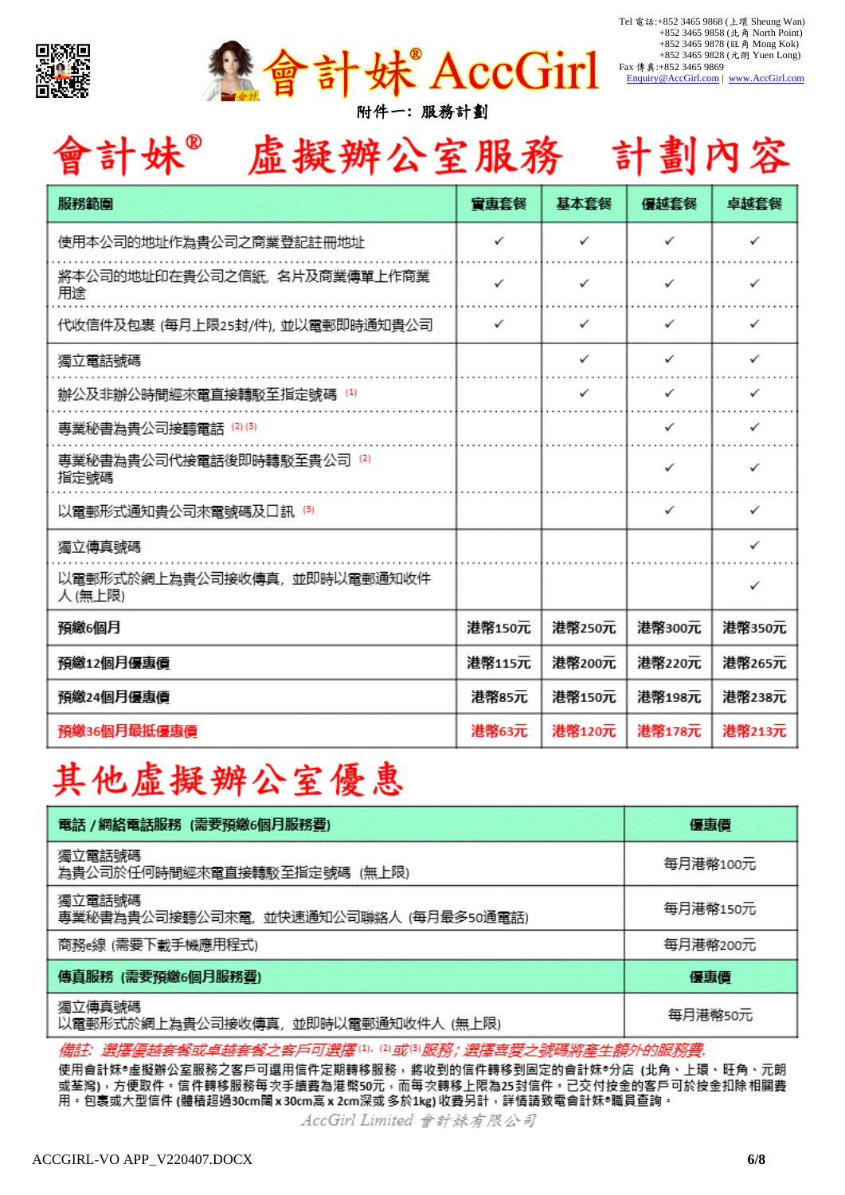



| 會計妹® | 虛擬辦公室服務 | 計劃內容 |
|------|---------|------|
|------|---------|------|

| 服務範圍                                   | 富恵套餐   | 基本套餐   | 優越套餐   | 卓越套餐   |
|----------------------------------------|--------|--------|--------|--------|
| 使用本公司的地址作為貴公司之商業登記註冊地址                 | ✓      | ✓      | ✓      | ✓      |
| 將本公司的地址印在貴公司之信紙,名片及商業傳單上作商業<br>用途      | ✓      | ✓      | ✓      | ✓      |
| 代收信件及包裹 (每月上限25封/件),並以電郵即時通知貴公司        | ✓      | ✓      | ✓      | ✓      |
| 獨立電話號碼                                 |        | ✓      | ✓      | ✓      |
| 辦公及非辦公時間經來電直接轉駁至指定號碼 ⑷                 |        | ✓      | ✓      | ✓      |
| 專業秘書為貴公司接聽電話 ⑵③                        |        |        | ✓      | ✓      |
| 專業秘書為貴公司代接電話後即時轉駁至貴公司 ⑵<br>指定號碼        |        |        | ✓      | ✓      |
| 以電郵形式通知貴公司來電號碼及口訊 ⑶                    |        |        | ✓      | ✓      |
| 獨立傳真號碼                                 |        |        |        | ✓      |
| 以電郵形式於網上為貴公司接收傳真,並即時以電郵通知收件<br>人 (無上限) |        |        |        | ✓      |
| 預繳6個月                                  | 港幣150元 | 港幣250元 | 港幣300元 | 港幣350元 |
| 預繳12個月優惠價                              | 港幣115元 | 港幣200元 | 港幣220元 | 港幣265元 |
| 預繳24個月優惠價                              | 港幣85元  | 港幣150元 | 港幣198元 | 港幣238元 |
| 預繳36個月最抵優惠價                            | 港幣63元  | 港幣120元 | 港幣178元 | 港幣213元 |

# 其他虛擬辦公室優惠

| 電話 /網絡電話服務 (需要預繳6個月服務費)                         | 優惠價      |
|-------------------------------------------------|----------|
| 獨立電話號碼<br>為貴公司於任何時間經來電直接轉駁至指定號碼 (無上限)           | 每月港幣100元 |
| 獨立電話號碼<br>専業秘書為貴公司接聽公司來電,並快速通知公司聯絡人 (每月最多50通電話) | 每月港幣150元 |
| 商務e線 (需要下載手機應用程式)                               | 每月港幣200元 |
| 傳真服務 (需要預繳6個月服務費)                               | 優惠價      |
| 獨立傳真號碼<br>以電郵形式於網上為貴公司接收傳真,並即時以電郵通知收件人 (無上限)    | 每月港幣50元  |

**ヨ可選擇(1)、⑵或⑶服務;選擇:** 備註 選擇 之客人

使用會計妹®虛擬辦公室服務之客戶可選用信件定期轉移服務,將收到的信件轉移到固定的會計妹®分店 (北角、上環、旺角、元朗 或荃灣),方便取件。信件轉移服務每次手續費為港幣50元,而每次轉移上限為25封信件。已交付按金的客戶可於按金扣除相關費 用。包裹或大型信件 (體積超過30cm闊 x 30cm高 x 2cm深或 多於1kg) 收費另計,詳情請致電會計妹®職員查詢。

AccGirl Limited 會計妹有限公司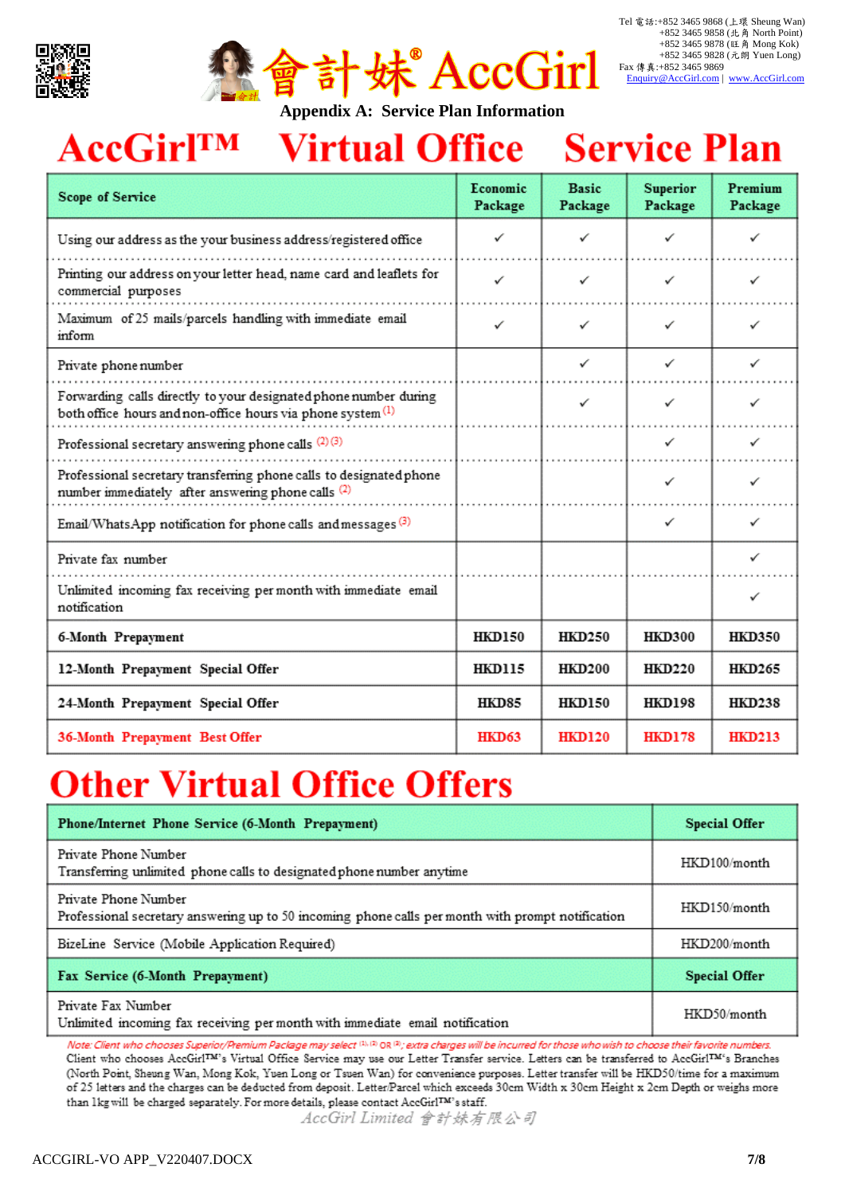



## **AccGirlTM** Virtual Office Service Plan

| <b>Scope of Service</b>                                                                                                                    | Economic<br>Package | <b>Basic</b><br>Package | <b>Superior</b><br>Package | Premium<br>Package |
|--------------------------------------------------------------------------------------------------------------------------------------------|---------------------|-------------------------|----------------------------|--------------------|
| Using our address as the your business address/registered office                                                                           |                     |                         |                            |                    |
| Printing our address on your letter head, name card and leaflets for<br>commercial purposes                                                | ✓                   | ✓                       | ✓                          |                    |
| Maximum of 25 mails/parcels handling with immediate email<br>inform                                                                        | ✓                   | ✓                       | ✓                          | ✓                  |
| Private phone number                                                                                                                       |                     | ✓                       | ✓                          | ✓                  |
| Forwarding calls directly to your designated phone number during<br>both office hours and non-office hours via phone system <sup>(1)</sup> |                     | ✓                       | ✓                          |                    |
| Professional secretary answering phone calls (2)(3)                                                                                        |                     |                         | ✓                          | ✓                  |
| Professional secretary transferring phone calls to designated phone<br>number immediately after answering phone calls (2)                  |                     |                         | ✓                          |                    |
| Email/WhatsApp notification for phone calls and messages <sup>(3)</sup>                                                                    |                     |                         | ✓                          | ✓                  |
| Private fax number                                                                                                                         |                     |                         |                            | ✓                  |
| Unlimited incoming fax receiving per month with immediate email<br>notification                                                            |                     |                         |                            | ✓                  |
| 6-Month Prepayment                                                                                                                         | <b>HKD150</b>       | <b>HKD250</b>           | <b>HKD300</b>              | <b>HKD350</b>      |
| 12-Month Prepayment Special Offer                                                                                                          | <b>HKD115</b>       | <b>HKD200</b>           | <b>HKD220</b>              | <b>HKD265</b>      |
| 24-Month Prepayment Special Offer                                                                                                          | <b>HKD85</b>        | <b>HKD150</b>           | <b>HKD198</b>              | <b>HKD238</b>      |
| 36-Month Prepayment Best Offer                                                                                                             | <b>HKD63</b>        | <b>HKD120</b>           | <b>HKD178</b>              | <b>HKD213</b>      |

# **Other Virtual Office Offers**

| Phone/Internet Phone Service (6-Month Prepayment)                                                                         | <b>Special Offer</b> |
|---------------------------------------------------------------------------------------------------------------------------|----------------------|
| Private Phone Number<br>Transferring unlimited phone calls to designated phone number anytime                             | HKD100/month         |
| Private Phone Number<br>Professional secretary answering up to 50 incoming phone calls per month with prompt notification | HKD150/month         |
| BizeLine Service (Mobile Application Required)                                                                            | HKD200/month         |
| Fax Service (6-Month Prepayment)                                                                                          | <b>Special Offer</b> |
| Private Fax Number<br>Unlimited incoming fax receiving per month with immediate email notification                        | HKD50/month          |

Note: Client who chooses Superior/Premium Package may select (3, (3) OR (3); extra charges will be incurred for those who wish to choose their favorite numbers. Client who chooses AccGirl™'s Virtual Office Service may use our Letter Transfer service. Letters can be transferred to AccGirl™'s Branches (North Point, Sheung Wan, Mong Kok, Yuen Long or Tsuen Wan) for convenience purposes. Letter transfer will be HKD50/time for a maximum of 25 letters and the charges can be deducted from deposit. Letter/Parcel which exceeds 30cm Width x 30cm Height x 2cm Depth or weighs more than 1kg will be charged separately. For more details, please contact AccGirlTM's staff.

AccGirl Limited 會計妹有限公司